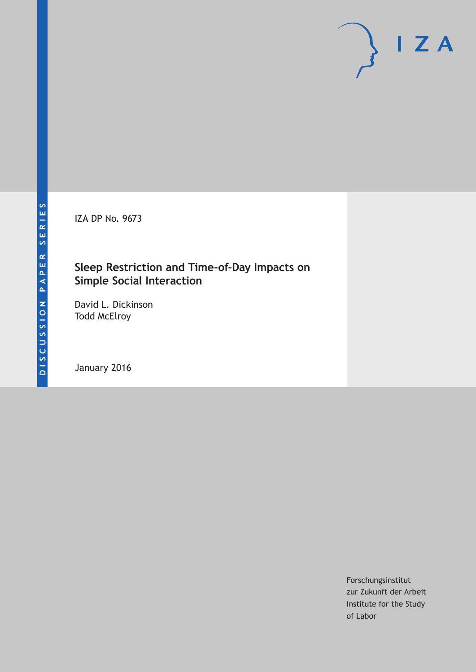IZA DP No. 9673

### **Sleep Restriction and Time‐of‐Day Impacts on Simple Social Interaction**

David L. Dickinson Todd McElroy

January 2016

Forschungsinstitut zur Zukunft der Arbeit Institute for the Study of Labor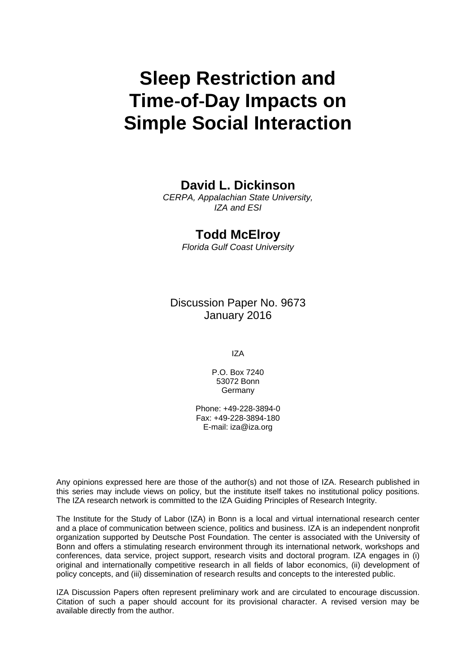# **Sleep Restriction and Time**‐**of**‐**Day Impacts on Simple Social Interaction**

### **David L. Dickinson**

*CERPA, Appalachian State University, IZA and ESI* 

### **Todd McElroy**

*Florida Gulf Coast University* 

Discussion Paper No. 9673 January 2016

IZA

P.O. Box 7240 53072 Bonn Germany

Phone: +49-228-3894-0 Fax: +49-228-3894-180 E-mail: iza@iza.org

Any opinions expressed here are those of the author(s) and not those of IZA. Research published in this series may include views on policy, but the institute itself takes no institutional policy positions. The IZA research network is committed to the IZA Guiding Principles of Research Integrity.

The Institute for the Study of Labor (IZA) in Bonn is a local and virtual international research center and a place of communication between science, politics and business. IZA is an independent nonprofit organization supported by Deutsche Post Foundation. The center is associated with the University of Bonn and offers a stimulating research environment through its international network, workshops and conferences, data service, project support, research visits and doctoral program. IZA engages in (i) original and internationally competitive research in all fields of labor economics, (ii) development of policy concepts, and (iii) dissemination of research results and concepts to the interested public.

IZA Discussion Papers often represent preliminary work and are circulated to encourage discussion. Citation of such a paper should account for its provisional character. A revised version may be available directly from the author.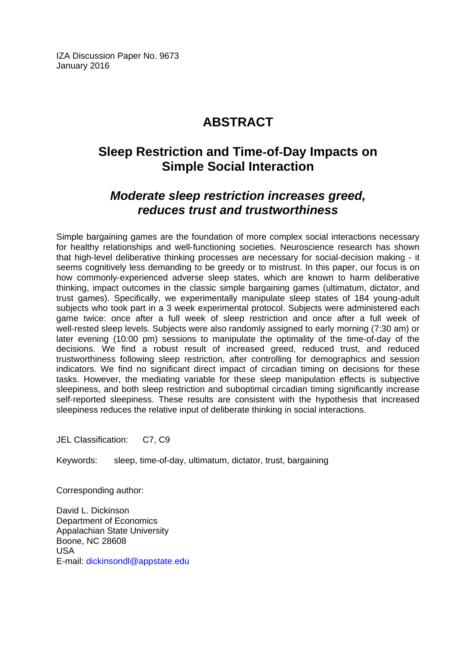IZA Discussion Paper No. 9673 January 2016

# **ABSTRACT**

# **Sleep Restriction and Time**‐**of**‐**Day Impacts on Simple Social Interaction**

## *Moderate sleep restriction increases greed, reduces trust and trustworthiness*

Simple bargaining games are the foundation of more complex social interactions necessary for healthy relationships and well-functioning societies. Neuroscience research has shown that high-level deliberative thinking processes are necessary for social-decision making - it seems cognitively less demanding to be greedy or to mistrust. In this paper, our focus is on how commonly‐experienced adverse sleep states, which are known to harm deliberative thinking, impact outcomes in the classic simple bargaining games (ultimatum, dictator, and trust games). Specifically, we experimentally manipulate sleep states of 184 young‐adult subjects who took part in a 3 week experimental protocol. Subjects were administered each game twice: once after a full week of sleep restriction and once after a full week of well-rested sleep levels. Subjects were also randomly assigned to early morning (7:30 am) or later evening (10:00 pm) sessions to manipulate the optimality of the time‐of‐day of the decisions. We find a robust result of increased greed, reduced trust, and reduced trustworthiness following sleep restriction, after controlling for demographics and session indicators. We find no significant direct impact of circadian timing on decisions for these tasks. However, the mediating variable for these sleep manipulation effects is subjective sleepiness, and both sleep restriction and suboptimal circadian timing significantly increase self-reported sleepiness. These results are consistent with the hypothesis that increased sleepiness reduces the relative input of deliberate thinking in social interactions.

JEL Classification: C7, C9

Keywords: sleep, time-of-day, ultimatum, dictator, trust, bargaining

Corresponding author:

David L. Dickinson Department of Economics Appalachian State University Boone, NC 28608 USA E-mail: dickinsondl@appstate.edu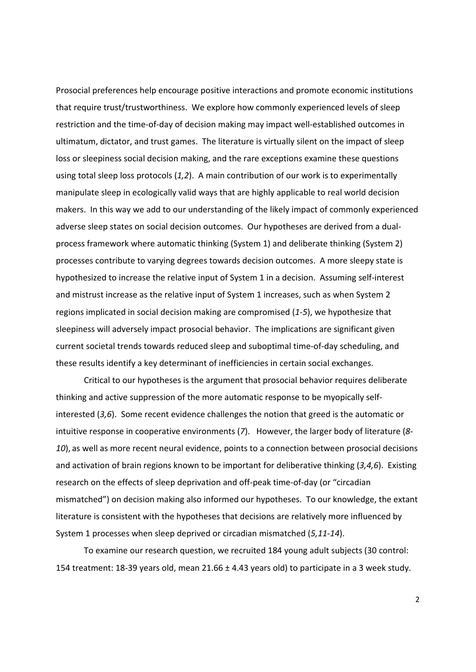Prosocial preferences help encourage positive interactions and promote economic institutions that require trust/trustworthiness. We explore how commonly experienced levels of sleep restriction and the time‐of‐day of decision making may impact well‐established outcomes in ultimatum, dictator, and trust games. The literature is virtually silent on the impact of sleep loss or sleepiness social decision making, and the rare exceptions examine these questions using total sleep loss protocols (*1,2*). A main contribution of our work is to experimentally manipulate sleep in ecologically valid ways that are highly applicable to real world decision makers. In this way we add to our understanding of the likely impact of commonly experienced adverse sleep states on social decision outcomes. Our hypotheses are derived from a dual‐ process framework where automatic thinking (System 1) and deliberate thinking (System 2) processes contribute to varying degrees towards decision outcomes. A more sleepy state is hypothesized to increase the relative input of System 1 in a decision. Assuming self-interest and mistrust increase as the relative input of System 1 increases, such as when System 2 regions implicated in social decision making are compromised (*1‐5*), we hypothesize that sleepiness will adversely impact prosocial behavior. The implications are significant given current societal trends towards reduced sleep and suboptimal time‐of‐day scheduling, and these results identify a key determinant of inefficiencies in certain social exchanges.

Critical to our hypotheses is the argument that prosocial behavior requires deliberate thinking and active suppression of the more automatic response to be myopically self‐ interested (*3,6*). Some recent evidence challenges the notion that greed is the automatic or intuitive response in cooperative environments (*7*). However, the larger body of literature (*8‐ 10*), as well as more recent neural evidence, points to a connection between prosocial decisions and activation of brain regions known to be important for deliberative thinking (*3,4,6*). Existing research on the effects of sleep deprivation and off‐peak time‐of‐day (or "circadian mismatched") on decision making also informed our hypotheses. To our knowledge, the extant literature is consistent with the hypotheses that decisions are relatively more influenced by System 1 processes when sleep deprived or circadian mismatched (*5,11‐14*).

To examine our research question, we recruited 184 young adult subjects (30 control: 154 treatment: 18-39 years old, mean 21.66  $\pm$  4.43 years old) to participate in a 3 week study.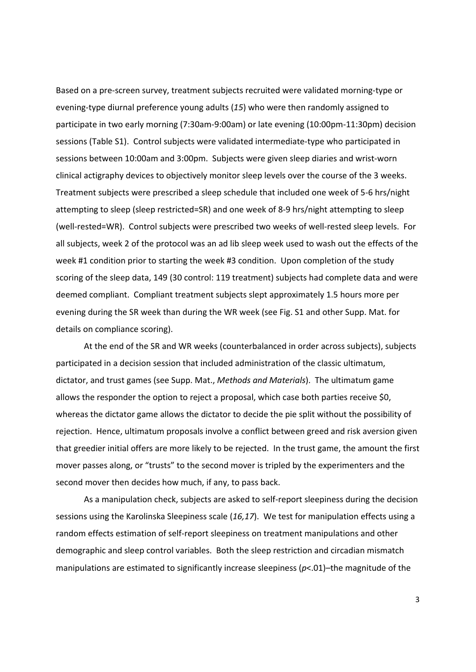Based on a pre‐screen survey, treatment subjects recruited were validated morning‐type or evening‐type diurnal preference young adults (*15*) who were then randomly assigned to participate in two early morning (7:30am‐9:00am) or late evening (10:00pm‐11:30pm) decision sessions (Table S1). Control subjects were validated intermediate-type who participated in sessions between 10:00am and 3:00pm. Subjects were given sleep diaries and wrist-worn clinical actigraphy devices to objectively monitor sleep levels over the course of the 3 weeks. Treatment subjects were prescribed a sleep schedule that included one week of 5‐6 hrs/night attempting to sleep (sleep restricted=SR) and one week of 8‐9 hrs/night attempting to sleep (well‐rested=WR). Control subjects were prescribed two weeks of well‐rested sleep levels. For all subjects, week 2 of the protocol was an ad lib sleep week used to wash out the effects of the week #1 condition prior to starting the week #3 condition. Upon completion of the study scoring of the sleep data, 149 (30 control: 119 treatment) subjects had complete data and were deemed compliant. Compliant treatment subjects slept approximately 1.5 hours more per evening during the SR week than during the WR week (see Fig. S1 and other Supp. Mat. for details on compliance scoring).

At the end of the SR and WR weeks (counterbalanced in order across subjects), subjects participated in a decision session that included administration of the classic ultimatum, dictator, and trust games (see Supp. Mat., *Methods and Materials*). The ultimatum game allows the responder the option to reject a proposal, which case both parties receive \$0, whereas the dictator game allows the dictator to decide the pie split without the possibility of rejection. Hence, ultimatum proposals involve a conflict between greed and risk aversion given that greedier initial offers are more likely to be rejected. In the trust game, the amount the first mover passes along, or "trusts" to the second mover is tripled by the experimenters and the second mover then decides how much, if any, to pass back.

As a manipulation check, subjects are asked to self‐report sleepiness during the decision sessions using the Karolinska Sleepiness scale (*16,17*). We test for manipulation effects using a random effects estimation of self‐report sleepiness on treatment manipulations and other demographic and sleep control variables. Both the sleep restriction and circadian mismatch manipulations are estimated to significantly increase sleepiness ( $p$ <.01)–the magnitude of the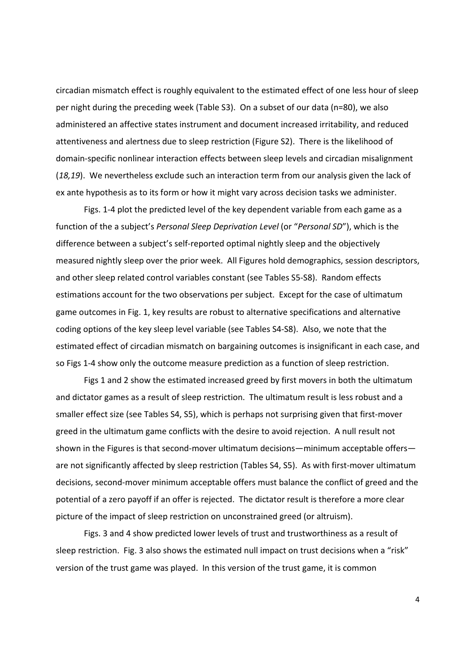circadian mismatch effect is roughly equivalent to the estimated effect of one less hour of sleep per night during the preceding week (Table S3). On a subset of our data (n=80), we also administered an affective states instrument and document increased irritability, and reduced attentiveness and alertness due to sleep restriction (Figure S2). There is the likelihood of domain‐specific nonlinear interaction effects between sleep levels and circadian misalignment (*18,19*). We nevertheless exclude such an interaction term from our analysis given the lack of ex ante hypothesis as to its form or how it might vary across decision tasks we administer.

Figs. 1-4 plot the predicted level of the key dependent variable from each game as a function of the a subject's *Personal Sleep Deprivation Level* (or "*Personal SD*"), which is the difference between a subject's self‐reported optimal nightly sleep and the objectively measured nightly sleep over the prior week. All Figures hold demographics, session descriptors, and other sleep related control variables constant (see Tables S5‐S8). Random effects estimations account for the two observations per subject. Except for the case of ultimatum game outcomes in Fig. 1, key results are robust to alternative specifications and alternative coding options of the key sleep level variable (see Tables S4‐S8). Also, we note that the estimated effect of circadian mismatch on bargaining outcomes is insignificant in each case, and so Figs 1‐4 show only the outcome measure prediction as a function of sleep restriction.

Figs 1 and 2 show the estimated increased greed by first movers in both the ultimatum and dictator games as a result of sleep restriction. The ultimatum result is less robust and a smaller effect size (see Tables S4, S5), which is perhaps not surprising given that first-mover greed in the ultimatum game conflicts with the desire to avoid rejection. A null result not shown in the Figures is that second-mover ultimatum decisions—minimum acceptable offers are not significantly affected by sleep restriction (Tables S4, S5). As with first-mover ultimatum decisions, second‐mover minimum acceptable offers must balance the conflict of greed and the potential of a zero payoff if an offer is rejected. The dictator result is therefore a more clear picture of the impact of sleep restriction on unconstrained greed (or altruism).

Figs. 3 and 4 show predicted lower levels of trust and trustworthiness as a result of sleep restriction. Fig. 3 also shows the estimated null impact on trust decisions when a "risk" version of the trust game was played. In this version of the trust game, it is common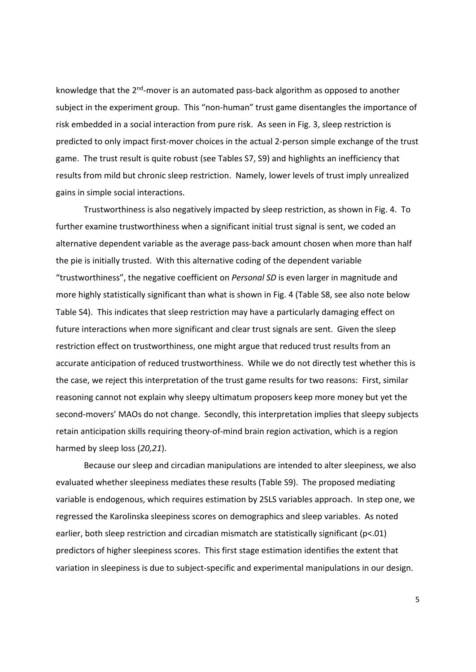knowledge that the 2<sup>nd</sup>-mover is an automated pass-back algorithm as opposed to another subject in the experiment group. This "non-human" trust game disentangles the importance of risk embedded in a social interaction from pure risk. As seen in Fig. 3, sleep restriction is predicted to only impact first-mover choices in the actual 2-person simple exchange of the trust game. The trust result is quite robust (see Tables S7, S9) and highlights an inefficiency that results from mild but chronic sleep restriction. Namely, lower levels of trust imply unrealized gains in simple social interactions.

Trustworthiness is also negatively impacted by sleep restriction, as shown in Fig. 4. To further examine trustworthiness when a significant initial trust signal is sent, we coded an alternative dependent variable as the average pass‐back amount chosen when more than half the pie is initially trusted. With this alternative coding of the dependent variable "trustworthiness", the negative coefficient on *Personal SD* is even larger in magnitude and more highly statistically significant than what is shown in Fig. 4 (Table S8, see also note below Table S4). This indicates that sleep restriction may have a particularly damaging effect on future interactions when more significant and clear trust signals are sent. Given the sleep restriction effect on trustworthiness, one might argue that reduced trust results from an accurate anticipation of reduced trustworthiness. While we do not directly test whether this is the case, we reject this interpretation of the trust game results for two reasons: First, similar reasoning cannot not explain why sleepy ultimatum proposers keep more money but yet the second-movers' MAOs do not change. Secondly, this interpretation implies that sleepy subjects retain anticipation skills requiring theory‐of‐mind brain region activation, which is a region harmed by sleep loss (*20,21*).

Because our sleep and circadian manipulations are intended to alter sleepiness, we also evaluated whether sleepiness mediates these results (Table S9). The proposed mediating variable is endogenous, which requires estimation by 2SLS variables approach. In step one, we regressed the Karolinska sleepiness scores on demographics and sleep variables. As noted earlier, both sleep restriction and circadian mismatch are statistically significant (p<.01) predictors of higher sleepiness scores. This first stage estimation identifies the extent that variation in sleepiness is due to subject‐specific and experimental manipulations in our design.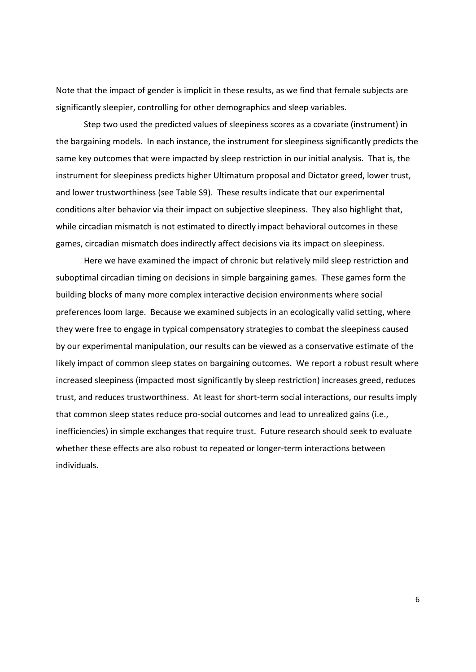Note that the impact of gender is implicit in these results, as we find that female subjects are significantly sleepier, controlling for other demographics and sleep variables.

Step two used the predicted values of sleepiness scores as a covariate (instrument) in the bargaining models. In each instance, the instrument for sleepiness significantly predicts the same key outcomes that were impacted by sleep restriction in our initial analysis. That is, the instrument for sleepiness predicts higher Ultimatum proposal and Dictator greed, lower trust, and lower trustworthiness (see Table S9). These results indicate that our experimental conditions alter behavior via their impact on subjective sleepiness. They also highlight that, while circadian mismatch is not estimated to directly impact behavioral outcomes in these games, circadian mismatch does indirectly affect decisions via its impact on sleepiness.

Here we have examined the impact of chronic but relatively mild sleep restriction and suboptimal circadian timing on decisions in simple bargaining games. These games form the building blocks of many more complex interactive decision environments where social preferences loom large. Because we examined subjects in an ecologically valid setting, where they were free to engage in typical compensatory strategies to combat the sleepiness caused by our experimental manipulation, our results can be viewed as a conservative estimate of the likely impact of common sleep states on bargaining outcomes. We report a robust result where increased sleepiness (impacted most significantly by sleep restriction) increases greed, reduces trust, and reduces trustworthiness. At least for short‐term social interactions, our results imply that common sleep states reduce pro‐social outcomes and lead to unrealized gains (i.e., inefficiencies) in simple exchanges that require trust. Future research should seek to evaluate whether these effects are also robust to repeated or longer-term interactions between individuals.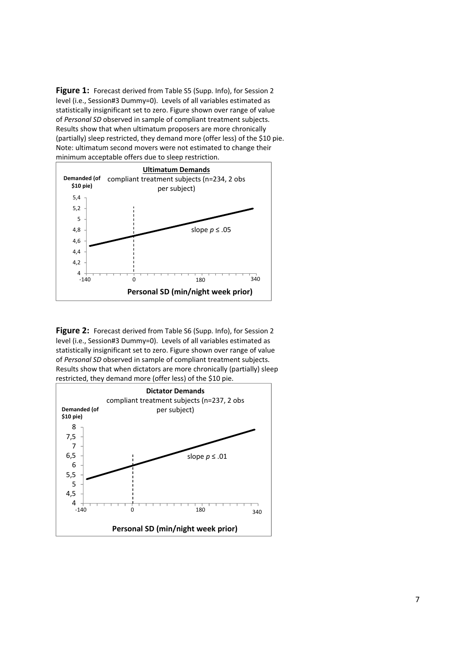Figure 1: Forecast derived from Table S5 (Supp. Info), for Session 2 level (i.e., Session#3 Dummy=0). Levels of all variables estimated as statistically insignificant set to zero. Figure shown over range of value of *Personal SD* observed in sample of compliant treatment subjects. Results show that when ultimatum proposers are more chronically (partially) sleep restricted, they demand more (offer less) of the \$10 pie. Note: ultimatum second movers were not estimated to change their minimum acceptable offers due to sleep restriction.



**Figure 2:** Forecast derived from Table S6 (Supp. Info), for Session 2 level (i.e., Session#3 Dummy=0). Levels of all variables estimated as statistically insignificant set to zero. Figure shown over range of value of *Personal SD* observed in sample of compliant treatment subjects. Results show that when dictators are more chronically (partially) sleep restricted, they demand more (offer less) of the \$10 pie.

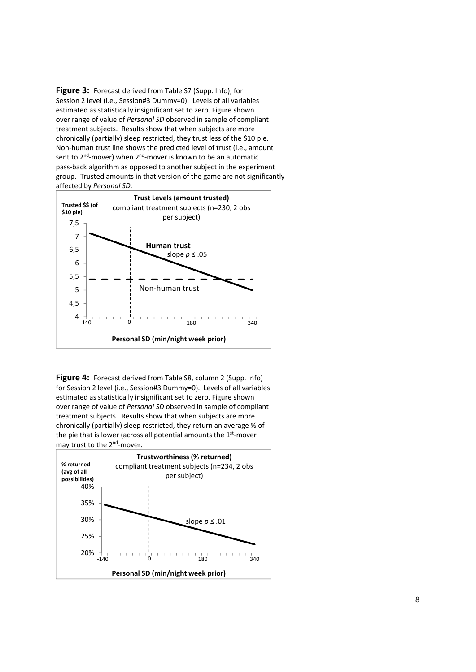**Figure 3:** Forecast derived from Table S7 (Supp. Info), for Session 2 level (i.e., Session#3 Dummy=0). Levels of all variables estimated as statistically insignificant set to zero. Figure shown over range of value of *Personal SD* observed in sample of compliant treatment subjects. Results show that when subjects are more chronically (partially) sleep restricted, they trust less of the \$10 pie. Non‐human trust line shows the predicted level of trust (i.e., amount sent to  $2^{nd}$ -mover) when  $2^{nd}$ -mover is known to be an automatic pass‐back algorithm as opposed to another subject in the experiment group. Trusted amounts in that version of the game are not significantly affected by *Personal SD*.



**Figure 4:** Forecast derived from Table S8, column 2 (Supp. Info) for Session 2 level (i.e., Session#3 Dummy=0). Levels of all variables estimated as statistically insignificant set to zero. Figure shown over range of value of *Personal SD* observed in sample of compliant treatment subjects. Results show that when subjects are more chronically (partially) sleep restricted, they return an average % of the pie that is lower (across all potential amounts the  $1<sup>st</sup>$ -mover may trust to the 2<sup>nd</sup>-mover.

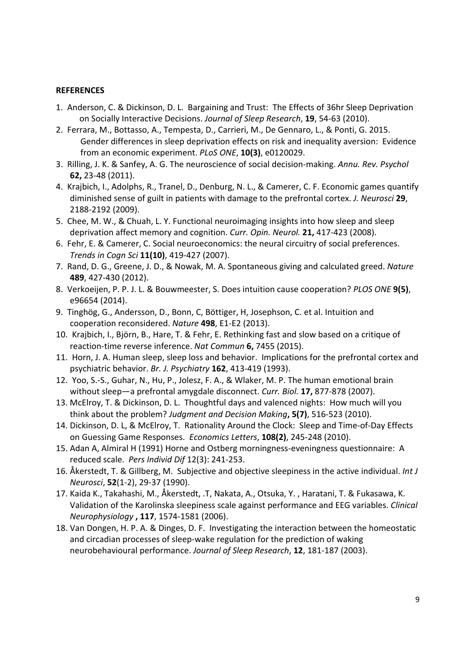#### **REFERENCES**

- 1. Anderson, C. & Dickinson, D. L. Bargaining and Trust: The Effects of 36hr Sleep Deprivation on Socially Interactive Decisions. *Journal of Sleep Research*, **19**, 54‐63 (2010).
- 2. Ferrara, M., Bottasso, A., Tempesta, D., Carrieri, M., De Gennaro, L., & Ponti, G. 2015. Gender differences in sleep deprivation effects on risk and inequality aversion: Evidence from an economic experiment. *PLoS ONE*, **10(3)**, e0120029.
- 3. Rilling, J. K. & Sanfey, A. G. The neuroscience of social decision‐making. *Annu. Rev. Psychol* **62,** 23‐48 (2011).
- 4. Krajbich, I., Adolphs, R., Tranel, D., Denburg, N. L., & Camerer, C. F. Economic games quantify diminished sense of guilt in patients with damage to the prefrontal cortex. *J. Neurosci* **29**, 2188‐2192 (2009).
- 5. Chee, M. W., & Chuah, L. Y. Functional neuroimaging insights into how sleep and sleep deprivation affect memory and cognition. *Curr. Opin. Neurol.* **21,** 417‐423 (2008).
- 6. Fehr, E. & Camerer, C. Social neuroeconomics: the neural circuitry of social preferences. *Trends in Cogn Sci* **11(10)**, 419‐427 (2007).
- 7. Rand, D. G., Greene, J. D., & Nowak, M. A. Spontaneous giving and calculated greed. *Nature* **489**, 427‐430 (2012).
- 8. Verkoeijen, P. P. J. L. & Bouwmeester, S. Does intuition cause cooperation? *PLOS ONE* **9(5)**, e96654 (2014).
- 9. Tinghög, G., Andersson, D., Bonn, C, Böttiger, H, Josephson, C. et al. Intuition and cooperation reconsidered. *Nature* **498**, E1‐E2 (2013).
- 10. Krajbich, I., Bjӧrn, B., Hare, T. & Fehr, E. Rethinking fast and slow based on a critique of reaction‐time reverse inference. *Nat Commun* **6,** 7455 (2015).
- 11. Horn, J. A. Human sleep, sleep loss and behavior. Implications for the prefrontal cortex and psychiatric behavior. *Br. J. Psychiatry* **162**, 413‐419 (1993).
- 12. Yoo, S.‐S., Guhar, N., Hu, P., Jolesz, F. A., & Wlaker, M. P. The human emotional brain without sleep—a prefrontal amygdale disconnect. *Curr. Biol.* **17,** 877‐878 (2007).
- 13. McElroy, T. & Dickinson, D. L. Thoughtful days and valenced nights: How much will you think about the problem? *Judgment and Decision Making***, 5(7)**, 516‐523 (2010).
- 14. Dickinson, D. L, & McElroy, T. Rationality Around the Clock: Sleep and Time‐of‐Day Effects on Guessing Game Responses. *Economics Letters*, **108(2)**, 245‐248 (2010).
- 15. Adan A, Almiral H (1991) Horne and Ostberg morningness‐eveningness questionnaire: A reduced scale. *Pers Individ Dif* 12(3): 241‐253.
- 16. Åkerstedt, T. & Gillberg, M. Subjective and objective sleepiness in the active individual. *Int J Neurosci*, **52**(1‐2), 29‐37 (1990).
- 17. Kaida K., Takahashi, M., Åkerstedt, .T, Nakata, A., Otsuka, Y. , Haratani, T. & Fukasawa, K. Validation of the Karolinska sleepiness scale against performance and EEG variables. *Clinical Neurophysiology* **, 117**, 1574‐1581 (2006).
- 18. Van Dongen, H. P. A. & Dinges, D. F. Investigating the interaction between the homeostatic and circadian processes of sleep‐wake regulation for the prediction of waking neurobehavioural performance. *Journal of Sleep Research*, **12**, 181‐187 (2003).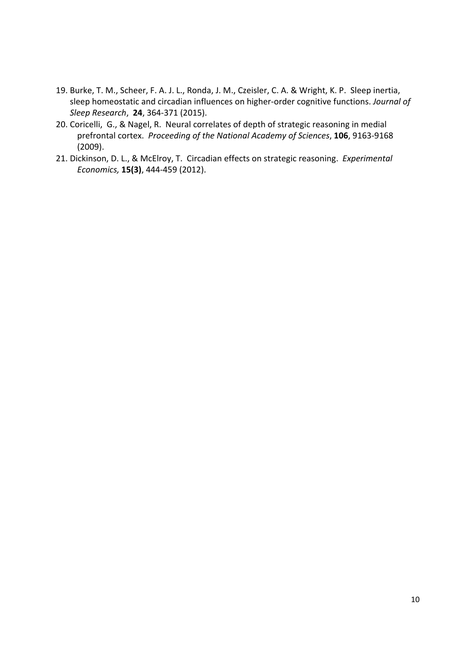- 19. Burke, T. M., Scheer, F. A. J. L., Ronda, J. M., Czeisler, C. A. & Wright, K. P. Sleep inertia, sleep homeostatic and circadian influences on higher‐order cognitive functions. *Journal of Sleep Research*, **24**, 364‐371 (2015).
- 20. Coricelli, G., & Nagel, R. Neural correlates of depth of strategic reasoning in medial prefrontal cortex. *Proceeding of the National Academy of Sciences*, **106**, 9163‐9168 (2009).
- 21. Dickinson, D. L., & McElroy, T. Circadian effects on strategic reasoning. *Experimental Economics,* **15(3)**, 444‐459 (2012).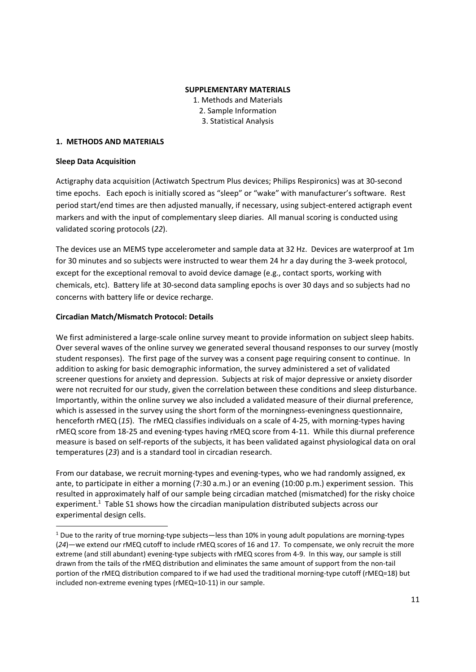#### **SUPPLEMENTARY MATERIALS**

1. Methods and Materials 2. Sample Information 3. Statistical Analysis

#### **1. METHODS AND MATERIALS**

#### **Sleep Data Acquisition**

Actigraphy data acquisition (Actiwatch Spectrum Plus devices; Philips Respironics) was at 30‐second time epochs. Each epoch is initially scored as "sleep" or "wake" with manufacturer's software. Rest period start/end times are then adjusted manually, if necessary, using subject-entered actigraph event markers and with the input of complementary sleep diaries. All manual scoring is conducted using validated scoring protocols (*22*).

The devices use an MEMS type accelerometer and sample data at 32 Hz. Devices are waterproof at 1m for 30 minutes and so subjects were instructed to wear them 24 hr a day during the 3-week protocol, except for the exceptional removal to avoid device damage (e.g., contact sports, working with chemicals, etc). Battery life at 30‐second data sampling epochs is over 30 days and so subjects had no concerns with battery life or device recharge.

#### **Circadian Match/Mismatch Protocol: Details**

We first administered a large-scale online survey meant to provide information on subject sleep habits. Over several waves of the online survey we generated several thousand responses to our survey (mostly student responses). The first page of the survey was a consent page requiring consent to continue. In addition to asking for basic demographic information, the survey administered a set of validated screener questions for anxiety and depression. Subjects at risk of major depressive or anxiety disorder were not recruited for our study, given the correlation between these conditions and sleep disturbance. Importantly, within the online survey we also included a validated measure of their diurnal preference, which is assessed in the survey using the short form of the morningness-eveningness questionnaire, henceforth rMEQ (*15*). The rMEQ classifies individuals on a scale of 4‐25, with morning‐types having rMEQ score from 18‐25 and evening‐types having rMEQ score from 4‐11. While this diurnal preference measure is based on self‐reports of the subjects, it has been validated against physiological data on oral temperatures (*23*) and is a standard tool in circadian research.

From our database, we recruit morning‐types and evening‐types, who we had randomly assigned, ex ante, to participate in either a morning (7:30 a.m.) or an evening (10:00 p.m.) experiment session. This resulted in approximately half of our sample being circadian matched (mismatched) for the risky choice experiment.<sup>1</sup> Table S1 shows how the circadian manipulation distributed subjects across our experimental design cells.

 $1$  Due to the rarity of true morning-type subjects—less than 10% in young adult populations are morning-types (*24*)—we extend our rMEQ cutoff to include rMEQ scores of 16 and 17. To compensate, we only recruit the more extreme (and still abundant) evening-type subjects with rMEQ scores from 4-9. In this way, our sample is still drawn from the tails of the rMEQ distribution and eliminates the same amount of support from the non‐tail portion of the rMEQ distribution compared to if we had used the traditional morning-type cutoff (rMEQ=18) but included non‐extreme evening types (rMEQ=10‐11) in our sample.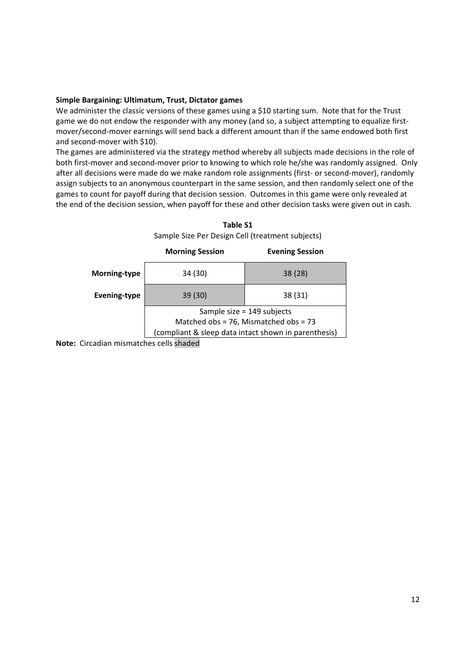#### **Simple Bargaining: Ultimatum, Trust, Dictator games**

We administer the classic versions of these games using a \$10 starting sum. Note that for the Trust game we do not endow the responder with any money (and so, a subject attempting to equalize firstmover/second‐mover earnings will send back a different amount than if the same endowed both first and second‐mover with \$10).

The games are administered via the strategy method whereby all subjects made decisions in the role of both first-mover and second-mover prior to knowing to which role he/she was randomly assigned. Only after all decisions were made do we make random role assignments (first- or second-mover), randomly assign subjects to an anonymous counterpart in the same session, and then randomly select one of the games to count for payoff during that decision session. Outcomes in this game were only revealed at the end of the decision session, when payoff for these and other decision tasks were given out in cash.

|                     | <b>Morning Session</b>                               | <b>Evening Session</b> |  |  |  |
|---------------------|------------------------------------------------------|------------------------|--|--|--|
| Morning-type        | 34 (30)                                              | 38(28)                 |  |  |  |
| <b>Evening-type</b> | 39 (30)                                              | 38 (31)                |  |  |  |
|                     | Sample size $= 149$ subjects                         |                        |  |  |  |
|                     | Matched obs = 76, Mismatched obs = 73                |                        |  |  |  |
|                     | (compliant & sleep data intact shown in parenthesis) |                        |  |  |  |
|                     |                                                      |                        |  |  |  |

**Table S1** Sample Size Per Design Cell (treatment subjects)

**Note:** Circadian mismatches cells shaded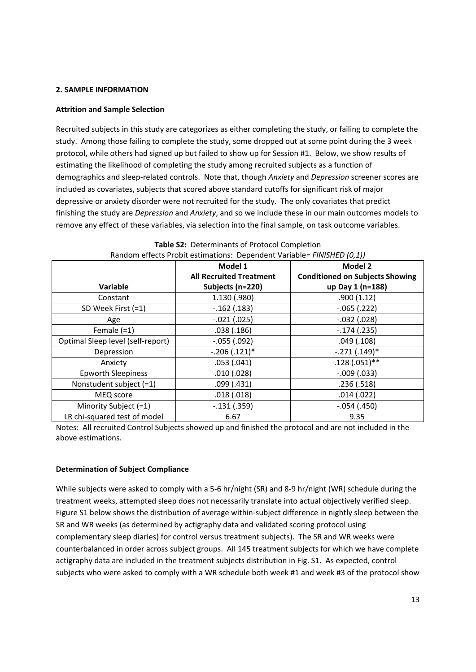#### **2. SAMPLE INFORMATION**

#### **Attrition and Sample Selection**

Recruited subjects in this study are categorizes as either completing the study, or failing to complete the study. Among those failing to complete the study, some dropped out at some point during the 3 week protocol, while others had signed up but failed to show up for Session #1. Below, we show results of estimating the likelihood of completing the study among recruited subjects as a function of demographics and sleep‐related controls. Note that, though *Anxiety* and *Depression* screener scores are included as covariates, subjects that scored above standard cutoffs for significant risk of major depressive or anxiety disorder were not recruited for the study. The only covariates that predict finishing the study are *Depression* and *Anxiety*, and so we include these in our main outcomes models to remove any effect of these variables, via selection into the final sample, on task outcome variables.

| $R$ Nativity is the contract of the contract of $\alpha$ is the contract of $\alpha$ in $\beta$ in $\beta$ is the contract of $\alpha$ |                                |                                        |  |  |  |
|----------------------------------------------------------------------------------------------------------------------------------------|--------------------------------|----------------------------------------|--|--|--|
|                                                                                                                                        | Model 1                        | <b>Model 2</b>                         |  |  |  |
|                                                                                                                                        | <b>All Recruited Treatment</b> | <b>Conditioned on Subjects Showing</b> |  |  |  |
| Variable                                                                                                                               | Subjects (n=220)               | up Day 1 (n=188)                       |  |  |  |
| Constant                                                                                                                               | 1.130 (.980)                   | .900(1.12)                             |  |  |  |
| SD Week First (=1)                                                                                                                     | $-.162(.183)$                  | $-.065(.222)$                          |  |  |  |
| Age                                                                                                                                    | $-.021(.025)$                  | $-.032(.028)$                          |  |  |  |
| Female $(=1)$                                                                                                                          | .038(.186)                     | $-.174(.235)$                          |  |  |  |
| Optimal Sleep level (self-report)                                                                                                      | $-.055(.092)$                  | .049(.108)                             |  |  |  |
| Depression                                                                                                                             | $-.206(.121)*$                 | $-.271(.149)*$                         |  |  |  |
| Anxiety                                                                                                                                | .053(.041)                     | $.128(.051)$ **                        |  |  |  |
| Epworth Sleepiness                                                                                                                     | .010(.028)                     | $-.009(.033)$                          |  |  |  |
| Nonstudent subject (=1)                                                                                                                | .099(.431)                     | .236(.518)                             |  |  |  |
| MEQ score                                                                                                                              | .018(.018)                     | .014(.022)                             |  |  |  |
| Minority Subject (=1)                                                                                                                  | $-.131(.359)$                  | $-.054(.450)$                          |  |  |  |
| LR chi-squared test of model                                                                                                           | 6.67                           | 9.35                                   |  |  |  |

**Table S2:** Determinants of Protocol Completion Random effects Probit estimations: Dependent Variable*= FINISHED (0,1))*

Notes: All recruited Control Subjects showed up and finished the protocol and are not included in the above estimations.

#### **Determination of Subject Compliance**

While subjects were asked to comply with a 5-6 hr/night (SR) and 8-9 hr/night (WR) schedule during the treatment weeks, attempted sleep does not necessarily translate into actual objectively verified sleep. Figure S1 below shows the distribution of average within-subject difference in nightly sleep between the SR and WR weeks (as determined by actigraphy data and validated scoring protocol using complementary sleep diaries) for control versus treatment subjects). The SR and WR weeks were counterbalanced in order across subject groups. All 145 treatment subjects for which we have complete actigraphy data are included in the treatment subjects distribution in Fig. S1. As expected, control subjects who were asked to comply with a WR schedule both week #1 and week #3 of the protocol show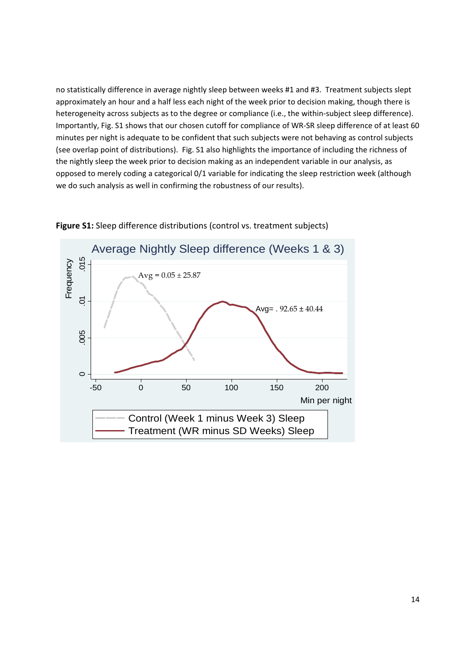no statistically difference in average nightly sleep between weeks #1 and #3. Treatment subjects slept approximately an hour and a half less each night of the week prior to decision making, though there is heterogeneity across subjects as to the degree or compliance (i.e., the within-subject sleep difference). Importantly, Fig. S1 shows that our chosen cutoff for compliance of WR‐SR sleep difference of at least 60 minutes per night is adequate to be confident that such subjects were not behaving as control subjects (see overlap point of distributions). Fig. S1 also highlights the importance of including the richness of the nightly sleep the week prior to decision making as an independent variable in our analysis, as opposed to merely coding a categorical 0/1 variable for indicating the sleep restriction week (although we do such analysis as well in confirming the robustness of our results).



**Figure S1:** Sleep difference distributions (control vs. treatment subjects)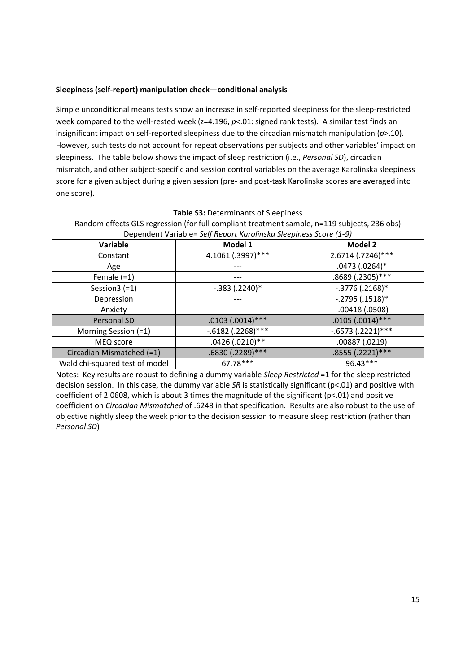#### **Sleepiness (self‐report) manipulation check—conditional analysis**

Simple unconditional means tests show an increase in self‐reported sleepiness for the sleep‐restricted week compared to the well-rested week (z=4.196, p<.01: signed rank tests). A similar test finds an insignificant impact on self‐reported sleepiness due to the circadian mismatch manipulation (*p*>.10). However, such tests do not account for repeat observations per subjects and other variables' impact on sleepiness. The table below shows the impact of sleep restriction (i.e., *Personal SD*), circadian mismatch, and other subject‐specific and session control variables on the average Karolinska sleepiness score for a given subject during a given session (pre- and post-task Karolinska scores are averaged into one score).

Random effects GLS regression (for full compliant treatment sample, n=119 subjects, 236 obs) Dependent Variable*= Self Report Karolinska Sleepiness Score (1‐9)* **Variable Model 1 Model 2** Constant 1.1061 (.3997)\*\*\* 1.5.6714 (.7246)\*\*\* Age  $\left| \begin{array}{ccc} & - & - & - \ \end{array} \right|$  .0473 (.0264)\* Female (=1)  $\qquad \qquad \qquad$   $\qquad \qquad$   $\qquad \qquad$   $\qquad \qquad$  .8689 (.2305)\*\*\* Session3 (=1) ‐.383 (.2240)\* ‐.3776 (.2168)\* Depression ‐‐‐ ‐.2795 (.1518)\* Anxiety **19. Interval 12.00418 (.0508)** Personal SD .0103 (.0014)\*\*\* .0105 (.0014)\*\*\* Morning Session (=1) ‐.6182 (.2268)\*\*\* ‐.6573 (.2221)\*\*\* MEQ score .0426 (.0210)\*\* .00887 (.0219) Circadian Mismatched (=1) .6830 (.2289)\*\*\* .8555 (.2221)\*\*\*

#### **Table S3:** Determinants of Sleepiness

Notes: Key results are robust to defining a dummy variable *Sleep Restricted* =1 for the sleep restricted decision session. In this case, the dummy variable *SR* is statistically significant (p<.01) and positive with coefficient of 2.0608, which is about 3 times the magnitude of the significant (p<.01) and positive coefficient on *Circadian Mismatched* of .6248 in that specification. Results are also robust to the use of objective nightly sleep the week prior to the decision session to measure sleep restriction (rather than *Personal SD*)

Wald chi-squared test of model **67.78\*\*\*** 96.43\*\*\*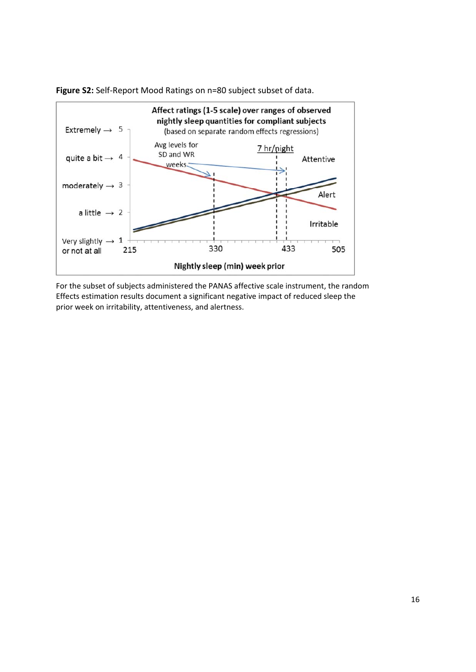

**Figure S2:** Self‐Report Mood Ratings on n=80 subject subset of data.

For the subset of subjects administered the PANAS affective scale instrument, the random Effects estimation results document a significant negative impact of reduced sleep the prior week on irritability, attentiveness, and alertness.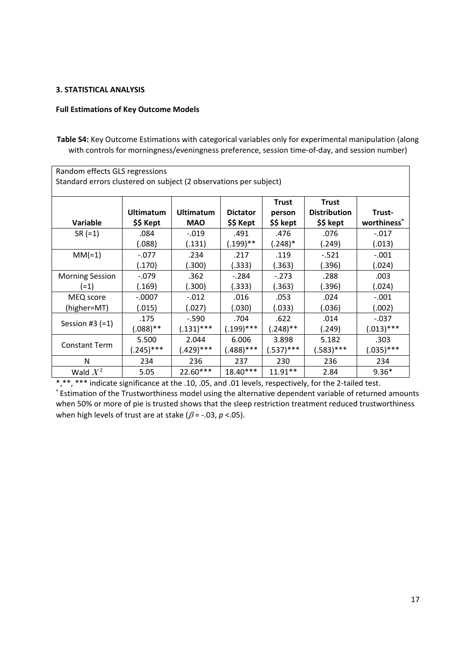#### **3. STATISTICAL ANALYSIS**

#### **Full Estimations of Key Outcome Models**

**Table S4:** Key Outcome Estimations with categorical variables only for experimental manipulation (along with controls for morningness/eveningness preference, session time-of-day, and session number)

| Random effects GLS regressions                                    |             |                  |                 |              |                     |                         |  |
|-------------------------------------------------------------------|-------------|------------------|-----------------|--------------|---------------------|-------------------------|--|
| Standard errors clustered on subject (2 observations per subject) |             |                  |                 |              |                     |                         |  |
|                                                                   |             |                  |                 |              |                     |                         |  |
|                                                                   |             |                  |                 | <b>Trust</b> | <b>Trust</b>        |                         |  |
|                                                                   | Ultimatum   | <b>Ultimatum</b> | <b>Dictator</b> | person       | <b>Distribution</b> | Trust-                  |  |
| <b>Variable</b>                                                   | \$\$ Kept   | <b>MAO</b>       | \$\$ Kept       | \$\$ kept    | \$\$ kept           | worthiness <sup>^</sup> |  |
| $SR (=1)$                                                         | .084        | $-.019$          | .491            | .476         | .076                | $-.017$                 |  |
|                                                                   | (.088)      | (.131)           | (.199)**        | (.248)*      | (.249)              | (.013)                  |  |
| $MM(=1)$                                                          | $-.077$     | .234             | .217            | .119         | $-.521$             | $-.001$                 |  |
|                                                                   | (.170)      | (.300)           | (.333)          | (.363)       | (.396)              | (.024)                  |  |
| <b>Morning Session</b>                                            | $-.079$     | .362             | $-.284$         | $-.273$      | .288                | .003                    |  |
| (=1)                                                              | (.169)      | (.300)           | (.333)          | (.363)       | (.396)              | (.024)                  |  |
| MEQ score                                                         | $-.0007$    | $-.012$          | .016            | .053         | .024                | $-.001$                 |  |
| (higher=MT)                                                       | (.015)      | (.027)           | (.030)          | (.033)       | (.036)              | (.002)                  |  |
|                                                                   | .175        | $-.590$          | .704            | .622         | .014                | $-.037$                 |  |
| Session #3 $(=1)$                                                 | $(.088)$ ** | $(.131)$ ***     | $(.199)$ ***    | $(.248)$ **  | (.249)              | $(.013)$ ***            |  |
|                                                                   | 5.500       | 2.044            | 6.006           | 3.898        | 5.182               | .303                    |  |
| <b>Constant Term</b>                                              | $(.245)***$ | (.429)***        | $(.488)***$     | $(.537)$ *** | $(.583)***$         | $(.035)$ ***            |  |
| N                                                                 | 234         | 236              | 237             | 230          | 236                 | 234                     |  |
| Wald $X^2$                                                        | 5.05        | $22.60***$       | $18.40***$      | $11.91**$    | 2.84                | $9.36*$                 |  |

\*,\*\*, \*\*\* indicate significance at the .10, .05, and .01 levels, respectively, for the 2-tailed test. ^ Estimation of the Trustworthiness model using the alternative dependent variable of returned amounts when 50% or more of pie is trusted shows that the sleep restriction treatment reduced trustworthiness when high levels of trust are at stake ( $\beta$  = -.03,  $p$  <.05).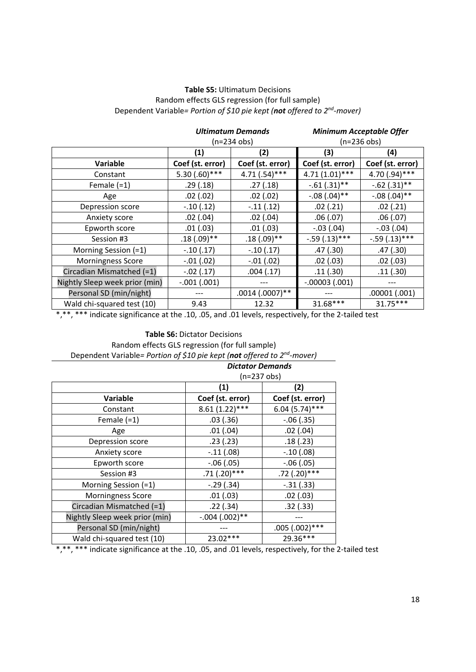#### **Table S5:** Ultimatum Decisions Random effects GLS regression (for full sample) Dependent Variable*= Portion of \$10 pie kept (not offered to 2nd‐mover)*

|                                |                  | <b>Ultimatum Demands</b>        |                  | <b>Minimum Acceptable Offer</b> |  |
|--------------------------------|------------------|---------------------------------|------------------|---------------------------------|--|
|                                | $(n=234$ obs)    |                                 | $(n=236$ obs)    |                                 |  |
|                                | (1)              | (2)                             | (3)              | (4)                             |  |
| <b>Variable</b>                | Coef (st. error) | Coef (st. error)                | Coef (st. error) | Coef (st. error)                |  |
| Constant                       | $5.30(.60)$ ***  | $4.71(.54)***$                  | $4.71(1.01)$ *** | 4.70 (.94) ***                  |  |
| Female $(=1)$                  | .29(.18)         | .27(.18)                        | $-.61(.31)$ **   | $-.62(.31)$ **                  |  |
| Age                            | .02(.02)         | .02(.02)                        | $-.08(.04)$ **   | $-.08(.04)$ **                  |  |
| Depression score               | $-.10(.12)$      | $-.11(.12)$<br>.02(.21)         |                  | .02(.21)                        |  |
| Anxiety score                  | .02(.04)         | .02(.04)<br>.06(.07)            |                  | .06(.07)                        |  |
| Epworth score                  | .01(.03)         | .01(.03)                        | $-.03(.04)$      | $-.03(.04)$                     |  |
| Session #3                     | $.18(.09)$ **    | $-.59(.13)***$<br>$.18(.09)$ ** |                  | $-.59(.13)***$                  |  |
| Morning Session (=1)           | $-.10(.17)$      | $-.10(.17)$                     | .47(.30)         | .47(.30)                        |  |
| <b>Morningness Score</b>       | $-.01(.02)$      | $-.01(.02)$                     | .02(.03)         | .02(.03)                        |  |
| Circadian Mismatched (=1)      | $-.02(.17)$      | .11(.30)<br>.004(.17)           |                  | .11(.30)                        |  |
| Nightly Sleep week prior (min) | $-.001(.001)$    |                                 | $-.00003(.001)$  |                                 |  |
| Personal SD (min/night)        |                  | $.0014(.0007)$ **               |                  | .00001(.001)                    |  |
| Wald chi-squared test (10)     | 9.43             | 12.32                           | 31.68***         | $31.75***$                      |  |

\*,\*\*, \*\*\* indicate significance at the .10, .05, and .01 levels, respectively, for the 2-tailed test

**Table S6:** Dictator Decisions Random effects GLS regression (for full sample) Dependent Variable*= Portion of \$10 pie kept (not offered to 2nd‐mover)*

| <b>Dictator Demands</b>        |                  |                  |  |
|--------------------------------|------------------|------------------|--|
|                                | $(n=237$ obs)    |                  |  |
|                                | (1)              | (2)              |  |
| <b>Variable</b>                | Coef (st. error) | Coef (st. error) |  |
| Constant                       | $8.61(1.22)$ *** | $6.04(5.74)$ *** |  |
| Female $(=1)$                  | .03(.36)         | $-.06(.35)$      |  |
| Age                            | .01(.04)         | .02(.04)         |  |
| Depression score               | .23(.23)         | .18(.23)         |  |
| Anxiety score                  | $-.11(.08)$      | $-.10(.08)$      |  |
| Epworth score                  | $-.06(.05)$      | $-.06(.05)$      |  |
| Session #3                     | $.71(.20)$ ***   | $.72$ (.20)***   |  |
| Morning Session (=1)           | $-.29(.34)$      | $-.31(.33)$      |  |
| <b>Morningness Score</b>       | .01(.03)         | .02(0.03)        |  |
| Circadian Mismatched $(=1)$    | .22(.34)         | .32(.33)         |  |
| Nightly Sleep week prior (min) | $-.004(.002)$ ** |                  |  |
| Personal SD (min/night)        |                  | $.005(.002)$ *** |  |
| Wald chi-squared test (10)     | $23.02***$       | 29.36***         |  |

\*,\*\*, \*\*\* indicate significance at the .10, .05, and .01 levels, respectively, for the 2‐tailed test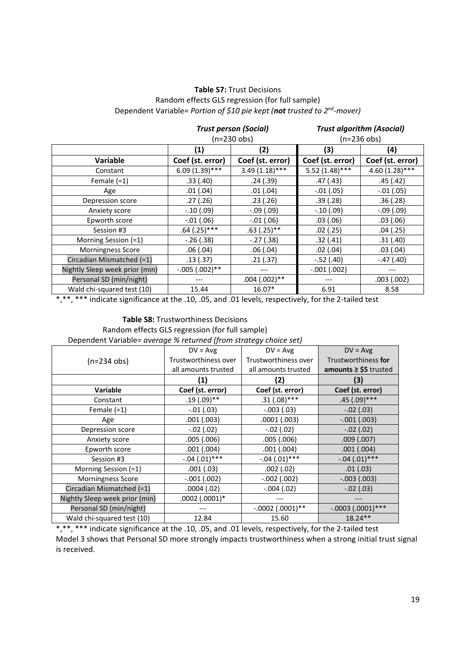#### **Table S7:** Trust Decisions Random effects GLS regression (for full sample) Dependent Variable*= Portion of \$10 pie kept (not trusted to 2nd‐mover)*

|                                |                  | <b>Trust person (Social)</b><br>$(n=230$ obs) |                  | <b>Trust algorithm (Asocial)</b><br>$(n=236$ obs) |  |
|--------------------------------|------------------|-----------------------------------------------|------------------|---------------------------------------------------|--|
|                                | (2)<br>(1)       |                                               | (3)              | (4)                                               |  |
| <b>Variable</b>                | Coef (st. error) | Coef (st. error)                              | Coef (st. error) | Coef (st. error)                                  |  |
| Constant                       | $6.09(1.39)$ *** | $3.49(1.18)$ ***                              | $5.52(1.48)$ *** | $4.60(1.28)$ ***                                  |  |
| Female $(=1)$                  | .33(.40)         | .24(.39)                                      | .47(.43)         | .45(.42)                                          |  |
| Age                            | .01(.04)         | .01(.04)                                      | $-.01(.05)$      | $-.01(.05)$                                       |  |
| Depression score               | .27(.26)         | .39(.28)<br>.23(.26)                          |                  | .36(.28)                                          |  |
| Anxiety score                  | $-.10(.09)$      | $-.09(.09)$                                   | $-.10(.09)$      | $-.09(.09)$                                       |  |
| Epworth score                  | $-.01(.06)$      | $-.01(.06)$                                   | .03(.06)         | .03(.06)                                          |  |
| Session #3                     | $.64$ (.25)***   | $.63$ (.25)**<br>$.02$ (.25)                  |                  | .04(.25)                                          |  |
| Morning Session (=1)           | $-.26(.38)$      | $-.27(.38)$                                   | .32(.41)         | .31(.40)                                          |  |
| <b>Morningness Score</b>       | .06(.04)         | .06(.04)                                      | $.02$ $(.04)$    | .03(0.04)                                         |  |
| Circadian Mismatched (=1)      | .13(.37)         | .21(.37)                                      | $-.52(.40)$      | $-.47(.40)$                                       |  |
| Nightly Sleep week prior (min) | $-.005(.002)$ ** | ---                                           | $-.001(.002)$    | ---                                               |  |
| Personal SD (min/night)        |                  | $.004(.002)$ **                               | $---$            | .003(.002)                                        |  |
| Wald chi-squared test (10)     | 15.44            | 16.07*                                        | 6.91             | 8.58                                              |  |

\*,\*\*, \*\*\* indicate significance at the .10, .05, and .01 levels, respectively, for the 2-tailed test

### **Table S8:** Trustworthiness Decisions

Random effects GLS regression (for full sample)

Dependent Variable*= average % returned (from strategy choice set)* 

|                                | $DV = Avg$           | $DV = Avg$           | $DV = Avg$                |
|--------------------------------|----------------------|----------------------|---------------------------|
| $(n=234$ obs)                  | Trustworthiness over | Trustworthiness over | Trustworthiness for       |
|                                | all amounts trusted  | all amounts trusted  | amounts $\ge$ \$5 trusted |
|                                | (1)                  | (2)                  | (3)                       |
| <b>Variable</b>                | Coef (st. error)     | Coef (st. error)     | Coef (st. error)          |
| Constant                       | $.19(.09)$ **        | $.31(.08)$ ***       | $.45(.09)$ ***            |
| Female $(=1)$                  | $-.01(.03)$          | $-.003(.03)$         | $-.02(.03)$               |
| Age                            | .001(.003)           | .0001(.003)          | $-.001(.003)$             |
| Depression score               | $-.02(.02)$          | $-.02(.02)$          | $-.02(.02)$               |
| Anxiety score                  | .005(.006)           | .005(.006)           | .009(.007)                |
| Epworth score                  | .001(.004)           | .001(.004)           | .001(.004)                |
| Session #3                     | $-.04(.01)$ ***      | $-.04(.01)$ ***      | $-.04(.01)$ ***           |
| Morning Session (=1)           | .001(.03)            | .002(.02)            | .01(.03)                  |
| <b>Morningness Score</b>       | $-.001(.002)$        | $-.002$ $(.002)$     | $-.003(.003)$             |
| Circadian Mismatched (=1)      | .0004 (.02)          | $-.004(.02)$         | $-.02(.03)$               |
| Nightly Sleep week prior (min) | $.0002(.0001)*$      |                      |                           |
| Personal SD (min/night)        |                      | $-.0002(.0001)$ **   | $-.0003(.0001)$ ***       |
| Wald chi-squared test (10)     | 12.84                | 15.60                | $18.24**$                 |

\*,\*\*, \*\*\* indicate significance at the .10, .05, and .01 levels, respectively, for the 2-tailed test Model 3 shows that Personal SD more strongly impacts trustworthiness when a strong initial trust signal is received.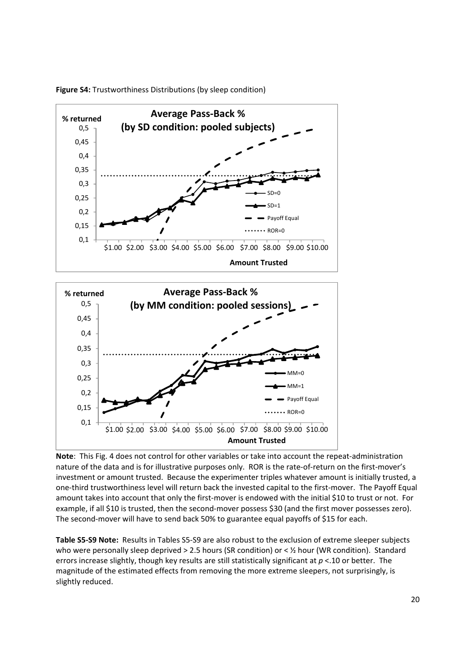

**Figure S4:** Trustworthiness Distributions (by sleep condition)



**Note:** This Fig. 4 does not control for other variables or take into account the repeat-administration nature of the data and is for illustrative purposes only. ROR is the rate-of-return on the first-mover's investment or amount trusted. Because the experimenter triples whatever amount is initially trusted, a one-third trustworthiness level will return back the invested capital to the first-mover. The Payoff Equal amount takes into account that only the first-mover is endowed with the initial \$10 to trust or not. For example, if all \$10 is trusted, then the second-mover possess \$30 (and the first mover possesses zero). The second-mover will have to send back 50% to guarantee equal payoffs of \$15 for each.

**Table S5‐S9 Note:** Results in Tables S5‐S9 are also robust to the exclusion of extreme sleeper subjects who were personally sleep deprived > 2.5 hours (SR condition) or < 1/2 hour (WR condition). Standard errors increase slightly, though key results are still statistically significant at *p* <.10 or better. The magnitude of the estimated effects from removing the more extreme sleepers, not surprisingly, is slightly reduced.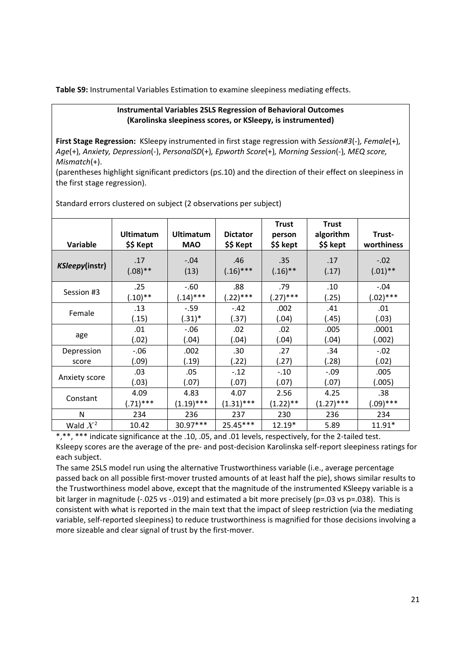**Table S9:** Instrumental Variables Estimation to examine sleepiness mediating effects.

#### **Instrumental Variables 2SLS Regression of Behavioral Outcomes (Karolinska sleepiness scores, or KSleepy, is instrumented)**

**First Stage Regression:** KSleepy instrumented in first stage regression with *Session#3*(‐)*, Female*(+)*, Age*(+)*, Anxiety, Depression*(‐), *PersonalSD*(+)*, Epworth Score*(+)*, Morning Session*(‐)*, MEQ score, Mismatch*(+).

(parentheses highlight significant predictors (p≤.10) and the direction of their effect on sleepiness in the first stage regression).

| <b>Variable</b> | <b>Ultimatum</b><br>\$\$ Kept | <b>Ultimatum</b><br><b>MAO</b> | <b>Dictator</b><br>\$\$ Kept | <b>Trust</b><br>person<br>\$\$ kept | <b>Trust</b><br>algorithm<br>\$\$ kept | Trust-<br>worthiness  |
|-----------------|-------------------------------|--------------------------------|------------------------------|-------------------------------------|----------------------------------------|-----------------------|
| KSleepy(instr)  | .17<br>$(.08)$ **             | $-.04$<br>(13)                 | .46<br>$(.16)$ ***           | .35<br>$(.16)$ **                   | .17<br>(.17)                           | $-.02$<br>$(.01)$ **  |
| Session #3      | .25<br>$(.10)**$              | $-.60$<br>$(.14)$ ***          | .88<br>(.22)***              | .79<br>$(.27)$ ***                  | .10<br>(.25)                           | $-.04$<br>$(.02)$ *** |
| Female          | .13<br>(.15)                  | $-.59$<br>$(.31)^*$            | $-.42$<br>(.37)              | .002<br>(.04)                       | .41<br>(.45)                           | .01<br>(.03)          |
| age             | .01<br>(.02)                  | $-.06$<br>(.04)                | .02<br>(.04)                 | .02<br>(.04)                        | .005<br>(.04)                          | .0001<br>(.002)       |
| Depression      | $-.06$                        | .002                           | .30                          | .27                                 | .34                                    | $-.02$                |
| score           | (.09)                         | (.19)                          | (22)                         | (.27)                               | (.28)                                  | (.02)                 |
|                 | .03                           | .05                            | $-.12$                       | $-.10$                              | $-.09$                                 | .005                  |
| Anxiety score   | (.03)                         | (.07)                          | (.07)                        | (.07)                               | (.07)                                  | (.005)                |
| Constant        | 4.09                          | 4.83                           | 4.07                         | 2.56                                | 4.25                                   | .38                   |
|                 | $(.71)$ ***                   | $(1.19)$ ***                   | $(1.31)$ ***                 | $(1.22)$ **                         | $(1.27)$ ***                           | $(.09)$ ***           |
| N               | 234                           | 236                            | 237                          | 230                                 | 236                                    | 234                   |
| Wald $X^2$      | 10.42                         | 30.97***                       | 25.45***                     | $12.19*$                            | 5.89                                   | $11.91*$              |

Standard errors clustered on subject (2 observations per subject)

\*,\*\*, \*\*\* indicate significance at the .10, .05, and .01 levels, respectively, for the 2‐tailed test. Ksleepy scores are the average of the pre‐ and post‐decision Karolinska self‐report sleepiness ratings for each subject.

The same 2SLS model run using the alternative Trustworthiness variable (i.e., average percentage passed back on all possible first‐mover trusted amounts of at least half the pie), shows similar results to the Trustworthiness model above, except that the magnitude of the instrumented KSleepy variable is a bit larger in magnitude (-.025 vs -.019) and estimated a bit more precisely (p=.03 vs p=.038). This is consistent with what is reported in the main text that the impact of sleep restriction (via the mediating variable, self‐reported sleepiness) to reduce trustworthiness is magnified for those decisions involving a more sizeable and clear signal of trust by the first-mover.